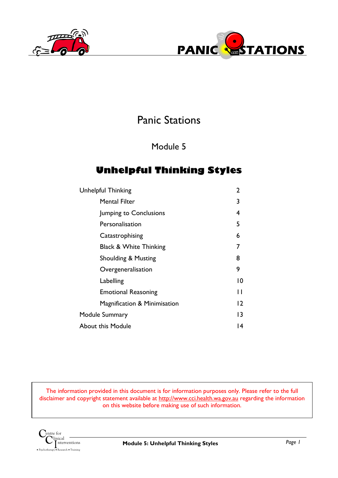



# Panic Stations

Module 5

## **Unhelpful Thinking Styles**

| <b>Mental Filter</b><br>Jumping to Conclusions<br>Personalisation<br>Catastrophising<br><b>Black &amp; White Thinking</b><br><b>Shoulding &amp; Musting</b><br>Overgeneralisation<br>Labelling<br><b>Emotional Reasoning</b><br>Magnification & Minimisation<br>Module Summary | Unhelpful Thinking | 2  |
|--------------------------------------------------------------------------------------------------------------------------------------------------------------------------------------------------------------------------------------------------------------------------------|--------------------|----|
|                                                                                                                                                                                                                                                                                |                    | 3  |
|                                                                                                                                                                                                                                                                                |                    | 4  |
|                                                                                                                                                                                                                                                                                |                    | 5  |
|                                                                                                                                                                                                                                                                                |                    | 6  |
|                                                                                                                                                                                                                                                                                |                    |    |
|                                                                                                                                                                                                                                                                                |                    | 8  |
|                                                                                                                                                                                                                                                                                |                    | 9  |
|                                                                                                                                                                                                                                                                                |                    | 10 |
|                                                                                                                                                                                                                                                                                |                    | Н  |
|                                                                                                                                                                                                                                                                                |                    | 12 |
|                                                                                                                                                                                                                                                                                |                    | 13 |
| About this Module                                                                                                                                                                                                                                                              |                    | 14 |

The information provided in this document is for information purposes only. Please refer to the full disclaimer and copyright statement available at http://www.cci.health.wa.gov.au regarding the information on this website before making use of such information.

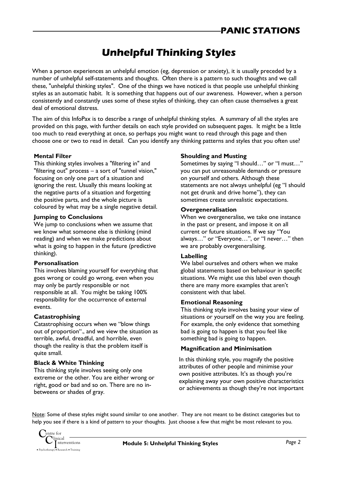# **Unhelpful Thinking Styles**

When a person experiences an unhelpful emotion (eg, depression or anxiety), it is usually preceded by a number of unhelpful self-statements and thoughts. Often there is a pattern to such thoughts and we call these, "unhelpful thinking styles". One of the things we have noticed is that people use unhelpful thinking styles as an automatic habit. It is something that happens out of our awareness. However, when a person consistently and constantly uses some of these styles of thinking, they can often cause themselves a great deal of emotional distress.

The aim of this InfoPax is to describe a range of unhelpful thinking styles. A summary of all the styles are provided on this page, with further details on each style provided on subsequent pages. It might be a little too much to read everything at once, so perhaps you might want to read through this page and then choose one or two to read in detail. Can you identify any thinking patterns and styles that you often use?

#### **Mental Filter**

This thinking styles involves a "filtering in" and "filtering out" process – a sort of "tunnel vision," focusing on only one part of a situation and ignoring the rest. Usually this means looking at the negative parts of a situation and forgetting the positive parts, and the whole picture is coloured by what may be a single negative detail.

#### **Jumping to Conclusions**

We jump to conclusions when we assume that we know what someone else is thinking (mind reading) and when we make predictions about what is going to happen in the future (predictive thinking).

#### **Personalisation**

This involves blaming yourself for everything that goes wrong or could go wrong, even when you may only be partly responsible or not responsible at all. You might be taking 100% responsibility for the occurrence of external events.

#### **Catastrophising**

Catastrophising occurs when we "blow things out of proportion"., and we view the situation as terrible, awful, dreadful, and horrible, even though the reality is that the problem itself is quite small.

### **Black & White Thinking**

This thinking style involves seeing only one extreme or the other. You are either wrong or right, good or bad and so on. There are no inbetweens or shades of gray.

#### **Shoulding and Musting**

Sometimes by saying "I should…" or "I must…" you can put unreasonable demands or pressure on yourself and others. Although these statements are not always unhelpful (eg "I should not get drunk and drive home"), they can sometimes create unrealistic expectations.

#### **Overgeneralisation**

When we overgeneralise, we take one instance in the past or present, and impose it on all current or future situations. If we say "You always…" or "Everyone…", or "I never…" then we are probably overgeneralising.

#### **Labelling**

We label ourselves and others when we make global statements based on behaviour in specific situations. We might use this label even though there are many more examples that aren't consistent with that label.

#### **Emotional Reasoning**

This thinking style involves basing your view of situations or yourself on the way you are feeling. For example, the only evidence that something bad is going to happen is that you feel like something bad is going to happen.

### **Magnification and Minimisation**

In this thinking style, you magnify the positive attributes of other people and minimise your own positive attributes. It's as though you're explaining away your own positive characteristics or achievements as though they're not important

Note: Some of these styles might sound similar to one another. They are not meant to be distinct categories but to help you see if there is a kind of pattern to your thoughts. Just choose a few that might be most relevant to you.

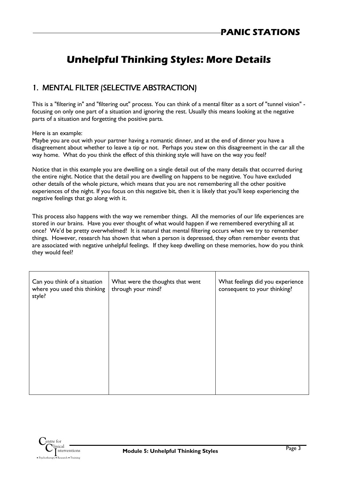# **Unhelpful Thinking Styles: More Details**

### 1. MENTAL FILTER (SELECTIVE ABSTRACTION)

This is a "filtering in" and "filtering out" process. You can think of a mental filter as a sort of "tunnel vision" focusing on only one part of a situation and ignoring the rest. Usually this means looking at the negative parts of a situation and forgetting the positive parts.

Here is an example:

Maybe you are out with your partner having a romantic dinner, and at the end of dinner you have a disagreement about whether to leave a tip or not. Perhaps you stew on this disagreement in the car all the way home. What do you think the effect of this thinking style will have on the way you feel?

Notice that in this example you are dwelling on a single detail out of the many details that occurred during the entire night. Notice that the detail you are dwelling on happens to be negative. You have excluded other details of the whole picture, which means that you are not remembering all the other positive experiences of the night. If you focus on this negative bit, then it is likely that you'll keep experiencing the negative feelings that go along with it.

This process also happens with the way we remember things. All the memories of our life experiences are stored in our brains. Have you ever thought of what would happen if we remembered everything all at once? We'd be pretty overwhelmed! It is natural that mental filtering occurs when we try to remember things. However, research has shown that when a person is depressed, they often remember events that are associated with negative unhelpful feelings. If they keep dwelling on these memories, how do you think they would feel?

| Can you think of a situation<br>where you used this thinking<br>style? | What were the thoughts that went<br>through your mind? | What feelings did you experience<br>consequent to your thinking? |
|------------------------------------------------------------------------|--------------------------------------------------------|------------------------------------------------------------------|
|                                                                        |                                                        |                                                                  |
|                                                                        |                                                        |                                                                  |
|                                                                        |                                                        |                                                                  |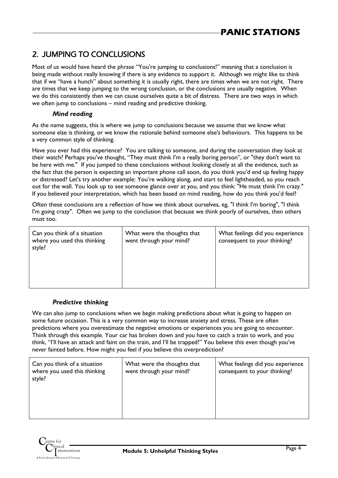## 2. JUMPING TO CONCLUSIONS

Most of us would have heard the phrase "You're jumping to conclusions!" meaning that a conclusion is being made without really knowing if there is any evidence to support it. Although we might like to think that if we "have a hunch" about something it is usually right, there are times when we are not right. There are times that we keep jumping to the wrong conclusion, or the conclusions are usually negative. When we do this consistently then we can cause ourselves quite a bit of distress. There are two ways in which we often jump to conclusions – mind reading and predictive thinking.

#### *Mind reading*

As the name suggests, this is where we jump to conclusions because we assume that we know what someone else is thinking, or we know the rationale behind someone else's behaviours. This happens to be a very common style of thinking.

Have you ever had this experience? You are talking to someone, and during the conversation they look at their watch? Perhaps you've thought, "They must think I'm a really boring person", or "they don't want to be here with me." If you jumped to these conclusions without looking closely at all the evidence, such as the fact that the person is expecting an important phone call soon, do you think you'd end up feeling happy or distressed? Let's try another example: You're walking along, and start to feel lightheaded, so you reach out for the wall. You look up to see someone glance over at you, and you think: "He must think I'm crazy." If you believed your interpretation, which has been based on mind reading, how do you think you'd feel?

Often these conclusions are a reflection of how we think about ourselves, eg, "I think I'm boring", "I think I'm going crazy". Often we jump to the conclusion that because we think poorly of ourselves, then others must too.

| Can you think of a situation<br>where you used this thinking<br>style? | What were the thoughts that<br>went through your mind? | What feelings did you experience<br>consequent to your thinking? |
|------------------------------------------------------------------------|--------------------------------------------------------|------------------------------------------------------------------|
|                                                                        |                                                        |                                                                  |

#### *Predictive thinking*

We can also jump to conclusions when we begin making predictions about what is going to happen on some future occasion. This is a very common way to increase anxiety and stress. These are often predictions where you overestimate the negative emotions or experiences you are going to encounter. Think through this example. Your car has broken down and you have to catch a train to work, and you think, "I'll have an attack and faint on the train, and I'll be trapped!" You believe this even though you've never fainted before. How might you feel if you believe this overprediction?

| Can you think of a situation<br>where you used this thinking<br>style? | What were the thoughts that<br>went through your mind? | What feelings did you experience<br>consequent to your thinking? |
|------------------------------------------------------------------------|--------------------------------------------------------|------------------------------------------------------------------|
|                                                                        |                                                        |                                                                  |

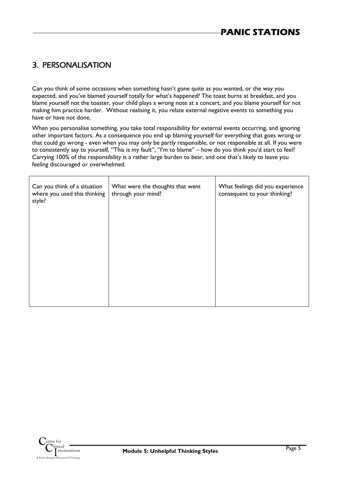### 3. PERSONALISATION

Can you think of some occasions when something hasn't gone quite as you wanted, or the way you expected, and you've blamed yourself totally for what's happened? The toast burns at breakfast, and you blame yourself not the toaster, your child plays a wrong note at a concert, and you blame yourself for not making him practice harder. Without realising it, you relate external negative events to something you have or have not done.

When you personalise something, you take total responsibility for external events occurring, and ignoring other important factors. As a consequence you end up blaming yourself for everything that goes wrong or that could go wrong - even when you may only be partly responsible, or not responsible at all. If you were to consistently say to yourself, "This is my fault", "I'm to blame" – how do you think you'd start to feel? Carrying 100% of the responsibility is a rather large burden to bear, and one that's likely to leave you feeling discouraged or overwhelmed.

 $\overline{\mathsf{I}}$ 

| Can you think of a situation<br>where you used this thinking<br>style? | What were the thoughts that went<br>through your mind? | What feelings did you experience<br>consequent to your thinking? |
|------------------------------------------------------------------------|--------------------------------------------------------|------------------------------------------------------------------|
|                                                                        |                                                        |                                                                  |
|                                                                        |                                                        |                                                                  |
|                                                                        |                                                        |                                                                  |
|                                                                        |                                                        |                                                                  |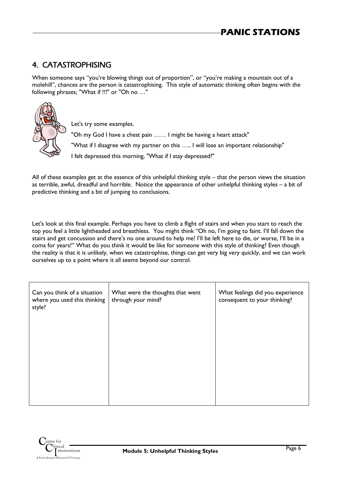## 4. CATASTROPHISING

When someone says "you're blowing things out of proportion", or "you're making a mountain out of a molehill", chances are the person is catastrophising. This style of automatic thinking often begins with the following phrases; "What if !!!" or "Oh no …"



Let's try some examples. "Oh my God I have a chest pain …… I might be having a heart attack" "What if I disagree with my partner on this ….. I will lose an important relationship" I felt depressed this morning, "What if I stay depressed?"

All of these examples get at the essence of this unhelpful thinking style – that the person views the situation as terrible, awful, dreadful and horrible. Notice the appearance of other unhelpful thinking styles – a bit of predictive thinking and a bit of jumping to conclusions.

Let's look at this final example. Perhaps you have to climb a flight of stairs and when you start to reach the top you feel a little lightheaded and breathless. You might think "Oh no, I'm going to faint. I'll fall down the stairs and get concussion and there's no one around to help me! I'll be left here to die, or worse, I'll be in a coma for years!" What do you think it would be like for someone with this style of thinking? Even though the reality is that it is unlikely, when we catastrophise, things can get very big very quickly, and we can work ourselves up to a point where it all seems beyond our control.

| Can you think of a situation<br>where you used this thinking<br>style? | What were the thoughts that went<br>through your mind? | What feelings did you experience<br>consequent to your thinking? |
|------------------------------------------------------------------------|--------------------------------------------------------|------------------------------------------------------------------|
|                                                                        |                                                        |                                                                  |
|                                                                        |                                                        |                                                                  |
|                                                                        |                                                        |                                                                  |

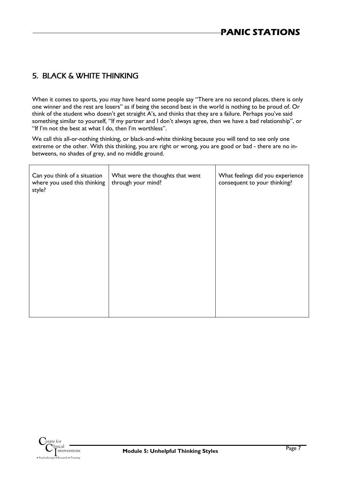### 5. BLACK & WHITE THINKING

When it comes to sports, you may have heard some people say "There are no second places, there is only one winner and the rest are losers" as if being the second best in the world is nothing to be proud of. Or think of the student who doesn't get straight A's, and thinks that they are a failure. Perhaps you've said something similar to yourself, "If my partner and I don't always agree, then we have a bad relationship", or "If I'm not the best at what I do, then I'm worthless".

We call this all-or-nothing thinking, or black-and-white thinking because you will tend to see only one extreme or the other. With this thinking, you are right or wrong, you are good or bad - there are no inbetweens, no shades of grey, and no middle ground.

| Can you think of a situation<br>where you used this thinking<br>style? | What were the thoughts that went<br>through your mind? | What feelings did you experience<br>consequent to your thinking? |
|------------------------------------------------------------------------|--------------------------------------------------------|------------------------------------------------------------------|
|                                                                        |                                                        |                                                                  |
|                                                                        |                                                        |                                                                  |
|                                                                        |                                                        |                                                                  |
|                                                                        |                                                        |                                                                  |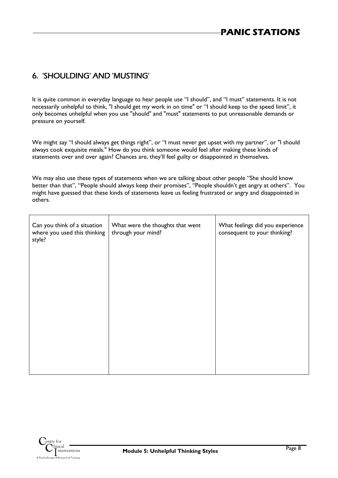### 6. 'SHOULDING' AND 'MUSTING'

It is quite common in everyday language to hear people use "I should", and "I must" statements. It is not necessarily unhelpful to think, "I should get my work in on time" or "I should keep to the speed limit", it only becomes unhelpful when you use "should" and "must" statements to put unreasonable demands or pressure on yourself.

We might say "I should always get things right", or "I must never get upset with my partner", or "I should always cook exquisite meals." How do you think someone would feel after making these kinds of statements over and over again? Chances are, they'll feel guilty or disappointed in themselves.

We may also use these types of statements when we are talking about other people "She should know better than that", "People should always keep their promises", "People shouldn't get angry at others". You might have guessed that these kinds of statements leave us feeling frustrated or angry and disappointed in others.

| Can you think of a situation<br>where you used this thinking<br>style? | What were the thoughts that went<br>through your mind? | What feelings did you experience<br>consequent to your thinking? |
|------------------------------------------------------------------------|--------------------------------------------------------|------------------------------------------------------------------|
|                                                                        |                                                        |                                                                  |
|                                                                        |                                                        |                                                                  |
|                                                                        |                                                        |                                                                  |
|                                                                        |                                                        |                                                                  |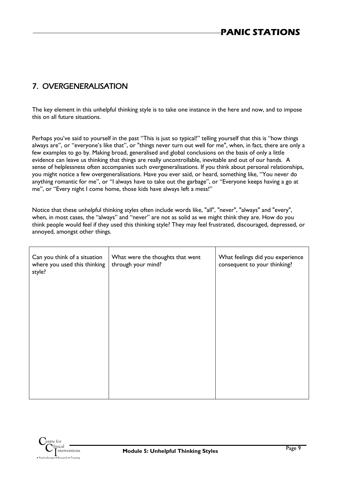## 7. OVERGENERALISATION

The key element in this unhelpful thinking style is to take one instance in the here and now, and to impose this on all future situations.

Perhaps you've said to yourself in the past "This is just so typical!" telling yourself that this is "how things always are", or "everyone's like that", or "things never turn out well for me", when, in fact, there are only a few examples to go by. Making broad, generalised and global conclusions on the basis of only a little evidence can leave us thinking that things are really uncontrollable, inevitable and out of our hands. A sense of helplessness often accompanies such overgeneralisations. If you think about personal relationships, you might notice a few overgeneralisations. Have you ever said, or heard, something like, "You never do anything romantic for me", or "I always have to take out the garbage", or "Everyone keeps having a go at me", or "Every night I come home, those kids have always left a mess!"

Notice that these unhelpful thinking styles often include words like, "all", "never", "always" and "every", when, in most cases, the "always" and "never" are not as solid as we might think they are. How do you think people would feel if they used this thinking style? They may feel frustrated, discouraged, depressed, or annoyed, amongst other things.

| Can you think of a situation<br>where you used this thinking<br>style? | What were the thoughts that went<br>through your mind? | What feelings did you experience<br>consequent to your thinking? |
|------------------------------------------------------------------------|--------------------------------------------------------|------------------------------------------------------------------|
|                                                                        |                                                        |                                                                  |
|                                                                        |                                                        |                                                                  |
|                                                                        |                                                        |                                                                  |
|                                                                        |                                                        |                                                                  |

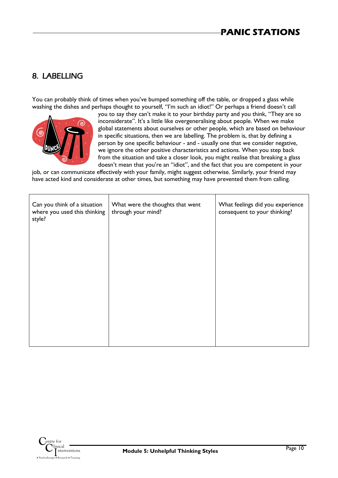## 8. LABELLING

You can probably think of times when you've bumped something off the table, or dropped a glass while washing the dishes and perhaps thought to yourself, "I'm such an idiot!" Or perhaps a friend doesn't call



you to say they can't make it to your birthday party and you think, "They are so inconsiderate". It's a little like overgeneralising about people. When we make global statements about ourselves or other people, which are based on behaviour in specific situations, then we are labelling. The problem is, that by defining a person by one specific behaviour - and - usually one that we consider negative, we ignore the other positive characteristics and actions. When you step back from the situation and take a closer look, you might realise that breaking a glass doesn't mean that you're an "idiot", and the fact that you are competent in your

job, or can communicate effectively with your family, might suggest otherwise. Similarly, your friend may have acted kind and considerate at other times, but something may have prevented them from calling.

| Can you think of a situation<br>where you used this thinking<br>style? | What were the thoughts that went<br>through your mind? | What feelings did you experience<br>consequent to your thinking? |
|------------------------------------------------------------------------|--------------------------------------------------------|------------------------------------------------------------------|
|                                                                        |                                                        |                                                                  |
|                                                                        |                                                        |                                                                  |
|                                                                        |                                                        |                                                                  |
|                                                                        |                                                        |                                                                  |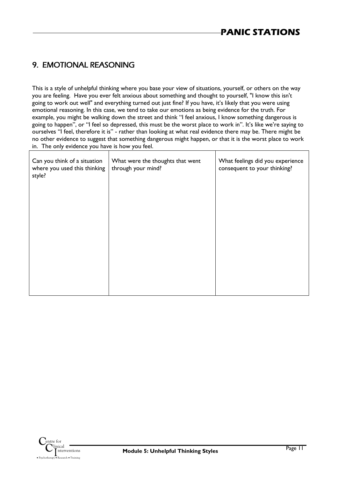## 9. EMOTIONAL REASONING

This is a style of unhelpful thinking where you base your view of situations, yourself, or others on the way you are feeling. Have you ever felt anxious about something and thought to yourself, "I know this isn't going to work out well" and everything turned out just fine? If you have, it's likely that you were using emotional reasoning. In this case, we tend to take our emotions as being evidence for the truth. For example, you might be walking down the street and think "I feel anxious, I know something dangerous is going to happen", or "I feel so depressed, this must be the worst place to work in". It's like we're saying to ourselves "I feel, therefore it is" - rather than looking at what real evidence there may be. There might be no other evidence to suggest that something dangerous might happen, or that it is the worst place to work in. The only evidence you have is how you feel.

| Can you think of a situation<br>where you used this thinking<br>style? | What were the thoughts that went<br>through your mind? | What feelings did you experience<br>consequent to your thinking? |
|------------------------------------------------------------------------|--------------------------------------------------------|------------------------------------------------------------------|
|                                                                        |                                                        |                                                                  |
|                                                                        |                                                        |                                                                  |
|                                                                        |                                                        |                                                                  |
|                                                                        |                                                        |                                                                  |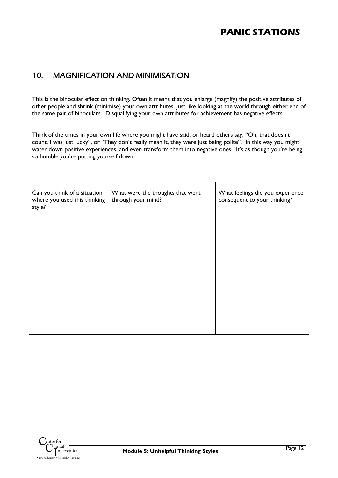### 10. MAGNIFICATION AND MINIMISATION

This is the binocular effect on thinking. Often it means that you enlarge (magnify) the positive attributes of other people and shrink (minimise) your own attributes, just like looking at the world through either end of the same pair of binoculars. Disqualifying your own attributes for achievement has negative effects.

Think of the times in your own life where you might have said, or heard others say, "Oh, that doesn't count, I was just lucky", or "They don't really mean it, they were just being polite". In this way you might water down positive experiences, and even transform them into negative ones. It's as though you're being so humble you're putting yourself down.

| Can you think of a situation<br>where you used this thinking<br>style? | What were the thoughts that went<br>through your mind? | What feelings did you experience<br>consequent to your thinking? |
|------------------------------------------------------------------------|--------------------------------------------------------|------------------------------------------------------------------|
|                                                                        |                                                        |                                                                  |
|                                                                        |                                                        |                                                                  |
|                                                                        |                                                        |                                                                  |
|                                                                        |                                                        |                                                                  |

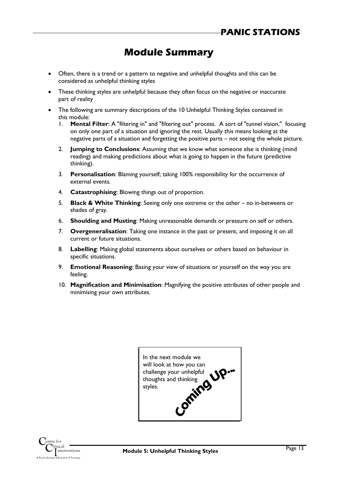## **Module Summary**

- Often, there is a trend or a pattern to negative and unhelpful thoughts and this can be considered as unhelpful thinking styles
- These thinking styles are unhelpful because they often focus on the negative or inaccurate part of reality
- The following are summary descriptions of the 10 Unhelpful Thinking Styles contained in this module:
	- 1. **Mental Filter**: A "filtering in" and "filtering out" process. A sort of "tunnel vision," focusing on only one part of a situation and ignoring the rest. Usually this means looking at the negative parts of a situation and forgetting the positive parts – not seeing the whole picture.
	- 2. **Jumping to Conclusions**: Assuming that we know what someone else is thinking (mind reading) and making predictions about what is going to happen in the future (predictive thinking).
	- 3. **Personalisation**: Blaming yourself; taking 100% responsibility for the occurrence of external events.
	- 4. **Catastrophising**: Blowing things out of proportion.
	- 5. **Black & White Thinking**: Seeing only one extreme or the other no in-betweens or shades of gray.
	- 6. **Shoulding and Musting**: Making unreasonable demands or pressure on self or others.
	- 7. **Overgeneralisation**: Taking one instance in the past or present, and imposing it on all current or future situations.
	- 8. **Labelling**: Making global statements about ourselves or others based on behaviour in specific situations.
	- 9. **Emotional Reasoning**: Basing your view of situations or yourself on the way you are feeling.
	- 10. **Magnification and Minimisation**: Magnifying the positive attributes of other people and minimising your own attributes.